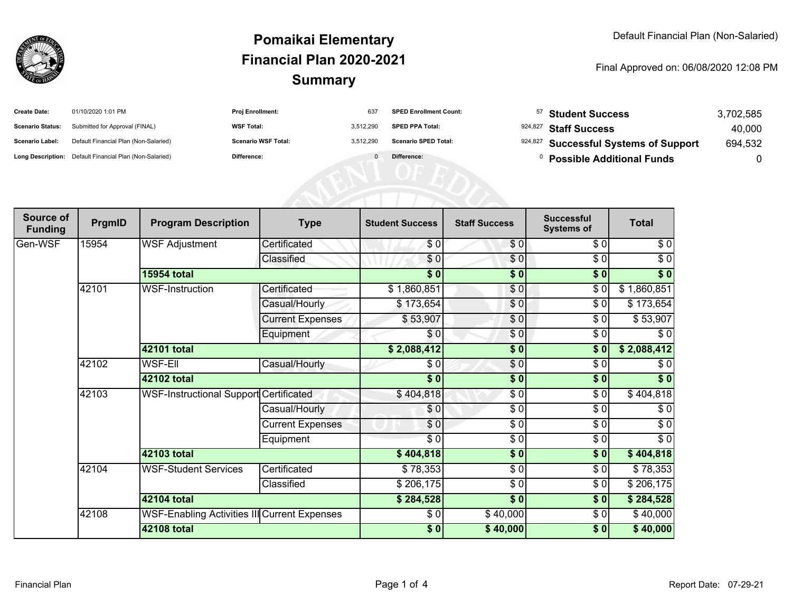

## **SummaryPomaikai ElementaryFinancial Plan 2020-2021**

Final Approved on: 06/08/2020 12:08 PM

| <b>Create Date:</b>     | 01/10/2020 1:01 PM                                      | Proj Enrollment:           | 637       | <b>SPED Enrollment Count:</b> | <sup>57</sup> Student Success         | 3,702,585 |
|-------------------------|---------------------------------------------------------|----------------------------|-----------|-------------------------------|---------------------------------------|-----------|
| <b>Scenario Status:</b> | Submitted for Approval (FINAL)                          | <b>WSF Total:</b>          | 3,512,290 | <b>SPED PPA Total:</b>        | 924,827 Staff Success                 | 40,000    |
| Scenario Label:         | Default Financial Plan (Non-Salaried)                   | <b>Scenario WSF Total:</b> | 3.512.290 | <b>Scenario SPED Total:</b>   | 924,827 Successful Systems of Support | 694,532   |
|                         | Long Description: Default Financial Plan (Non-Salaried) | Difference:                |           | Difference:                   | <b>Possible Additional Funds</b>      |           |
|                         |                                                         |                            |           |                               |                                       |           |
|                         |                                                         |                            |           |                               |                                       |           |
|                         |                                                         |                            |           |                               |                                       |           |

| Source of<br><b>Funding</b> | PrgmID             | <b>Program Description</b>                    | <b>Type</b>             | <b>Student Success</b> | <b>Staff Success</b> | <b>Successful</b><br><b>Systems of</b> | <b>Total</b> |
|-----------------------------|--------------------|-----------------------------------------------|-------------------------|------------------------|----------------------|----------------------------------------|--------------|
| Gen-WSF                     | 15954              | <b>WSF Adjustment</b>                         | Certificated            | \$0                    | \$0                  | \$0                                    | \$0          |
|                             |                    |                                               | Classified              | \$0                    | \$0                  | \$0                                    | $\sqrt{6}$   |
|                             |                    | <b>15954 total</b>                            |                         | $\frac{1}{6}$          | $\sqrt{6}$           | \$0                                    | \$0          |
|                             | 42101              | <b>WSF-Instruction</b>                        | Certificated            | \$1,860,851            | \$0                  | \$0                                    | \$1,860,851  |
|                             |                    |                                               | Casual/Hourly           | \$173,654              | \$0                  | $\frac{3}{6}$                          | \$173,654    |
|                             |                    |                                               | <b>Current Expenses</b> | \$53,907               | $\frac{6}{6}$        | \$0                                    | \$53,907     |
|                             |                    |                                               | Equipment               | \$0                    | \$0                  | \$0                                    | \$0          |
|                             |                    | 42101 total                                   |                         | \$2,088,412            | \$0                  | $\sqrt{6}$                             | \$2,088,412  |
|                             | 42102              | WSF-Ell                                       | Casual/Hourly           | \$0                    | \$0                  | \$0                                    | \$0          |
|                             |                    | 42102 total                                   |                         | $\frac{1}{6}$          | $\sqrt{6}$           | $\overline{\$0}$                       | $\sqrt[6]{}$ |
|                             | 42103              | <b>WSF-Instructional Support Certificated</b> |                         | \$404,818              | \$0                  | \$0                                    | \$404,818    |
|                             |                    |                                               | Casual/Hourly           | \$0                    | \$0                  | \$0                                    | \$0          |
|                             |                    |                                               | <b>Current Expenses</b> | \$0                    | $\frac{6}{6}$        | \$0                                    | $\sqrt{6}$   |
|                             |                    |                                               | Equipment               | $\sqrt{6}$             | $\sqrt{6}$           | $\sqrt{6}$                             | $\sqrt{6}$   |
|                             |                    | 42103 total                                   |                         | \$404,818              | $\sqrt{6}$           | $\sqrt{6}$                             | \$404,818    |
|                             | 42104              | <b>WSF-Student Services</b>                   | Certificated            | \$78,353               | \$0                  | \$0                                    | \$78,353     |
|                             |                    |                                               | Classified              | \$206,175              | \$0                  | \$0                                    | \$206,175    |
|                             |                    | 42104 total                                   |                         | \$284,528              | \$0                  | \$0                                    | \$284,528    |
|                             | 42108              | WSF-Enabling Activities III Current Expenses  |                         | \$0                    | \$40,000             | \$0                                    | \$40,000     |
|                             | <b>42108 total</b> |                                               |                         | \$0]                   | \$40,000             | \$0                                    | \$40,000     |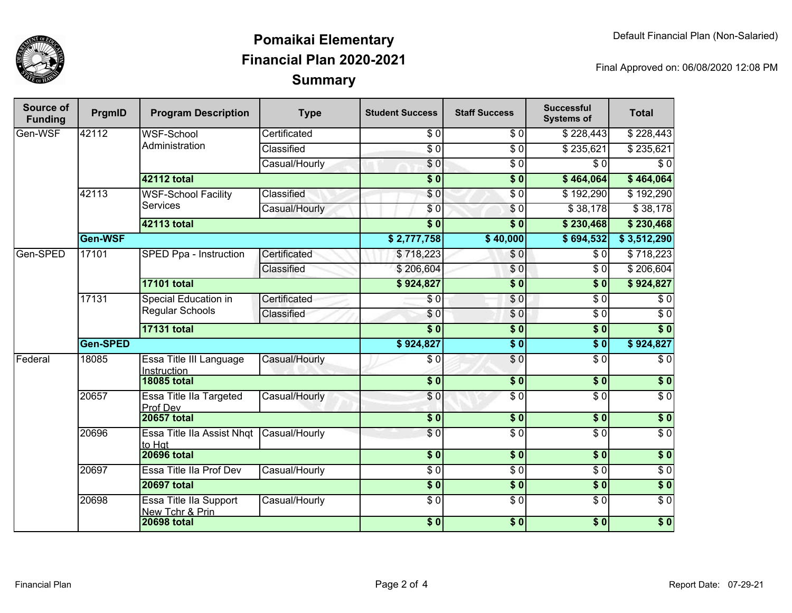

## **SummaryPomaikai ElementaryFinancial Plan 2020-2021**

Final Approved on: 06/08/2020 12:08 PM

| Source of<br><b>Funding</b> | PrgmID   | <b>Program Description</b>                    | <b>Type</b>            | <b>Student Success</b> | <b>Staff Success</b> | <b>Successful</b><br><b>Systems of</b> | <b>Total</b>     |           |
|-----------------------------|----------|-----------------------------------------------|------------------------|------------------------|----------------------|----------------------------------------|------------------|-----------|
| Gen-WSF                     | 42112    | <b>WSF-School</b><br>Administration           | Certificated           | $\overline{\$0}$       | $\sqrt{6}$           | \$228,443                              | \$228,443        |           |
|                             |          |                                               | Classified             | $\overline{S}0$        | $\overline{\$0}$     | \$235,621                              | \$235,621        |           |
|                             |          |                                               | Casual/Hourly          | $\overline{\$0}$       | $\overline{S}0$      | $\overline{\$0}$                       | $\overline{\$0}$ |           |
|                             |          | 42112 total                                   |                        | $\overline{\$0}$       | $\overline{\$0}$     | \$464,064                              | \$464,064        |           |
|                             | 42113    | WSF-School Facility<br><b>Services</b>        | Classified             | \$0                    | $\overline{\$0}$     | \$192,290                              | \$192,290        |           |
|                             |          |                                               | Casual/Hourly          | \$0                    | \$0                  | \$38,178                               | \$38,178         |           |
|                             |          | <b>42113 total</b>                            |                        | $\overline{\bullet}$   | $\overline{\$0}$     | \$230,468                              | \$230,468        |           |
|                             | Gen-WSF  |                                               |                        | \$2,777,758            | \$40,000             | \$694,532                              | \$3,512,290      |           |
| Gen-SPED                    | 17101    |                                               | SPED Ppa - Instruction | Certificated           | \$718,223            | \$0                                    | $\overline{\$0}$ | \$718,223 |
|                             |          |                                               |                        | Classified             | \$206,604            | \$0                                    | \$0              | \$206,604 |
|                             |          | <b>17101 total</b>                            |                        | \$924,827              | $\overline{\$0}$     | $\overline{\$0}$                       | \$924,827        |           |
|                             | 17131    | Special Education in<br>Regular Schools       | Certificated           | $\overline{\$0}$       | $\overline{\$0}$     | $\overline{\$0}$                       | $\sqrt{6}$       |           |
|                             |          |                                               | Classified             | \$0                    | \$0                  | $\overline{\$0}$                       | $\overline{50}$  |           |
|                             |          | <b>17131 total</b>                            |                        | s <sub>0</sub>         | $\overline{\$0}$     | $\overline{\$0}$                       | $\overline{\$0}$ |           |
|                             | Gen-SPED |                                               |                        | \$924,827              | $\overline{\$}0$     | $\overline{\$0}$                       | \$924,827        |           |
| Federal                     | 18085    | Essa Title III Language<br><b>Instruction</b> | Casual/Hourly          | \$0                    | $\overline{\$0}$     | $\overline{\$0}$                       | $\overline{\$0}$ |           |
|                             |          | <b>18085 total</b>                            |                        | $\overline{\$0}$       | $\overline{\$0}$     | s <sub>0</sub>                         | $\overline{\$0}$ |           |
|                             | 20657    | Essa Title IIa Targeted<br>Prof Dev           | Casual/Hourly          | $\overline{\$0}$       | $\overline{\$0}$     | $\overline{\$0}$                       | $\overline{30}$  |           |
|                             |          | <b>20657 total</b>                            |                        | \$0                    | \$0                  | $\sqrt{6}$                             | \$0              |           |
|                             | 20696    | Essa Title IIa Assist Nhqt<br>to Hat          | Casual/Hourly          | \$0                    | $\sqrt{6}$           | $\sqrt{6}$                             | $\sqrt{6}$       |           |
|                             |          | <b>20696 total</b>                            |                        | $\overline{\$0}$       | $\overline{\$0}$     | $\overline{\$0}$                       | $\overline{\$0}$ |           |
|                             | 20697    | Essa Title IIa Prof Dev                       | Casual/Hourly          | $\overline{\$0}$       | $\overline{\$0}$     | $\overline{\$0}$                       | $\overline{\$0}$ |           |
|                             |          | <b>20697 total</b>                            |                        | $\sqrt{6}$             | $\overline{\$0}$     | $\overline{\$0}$                       | $\overline{\$0}$ |           |
|                             | 20698    | Essa Title IIa Support<br>New Tchr & Prin     | Casual/Hourly          | $\overline{50}$        | $\overline{\$0}$     | $\overline{\$0}$                       | $\overline{\$0}$ |           |
|                             |          | <b>20698 total</b>                            |                        | $\frac{1}{2}$          | \$0                  | \$0                                    | $\sqrt{6}$       |           |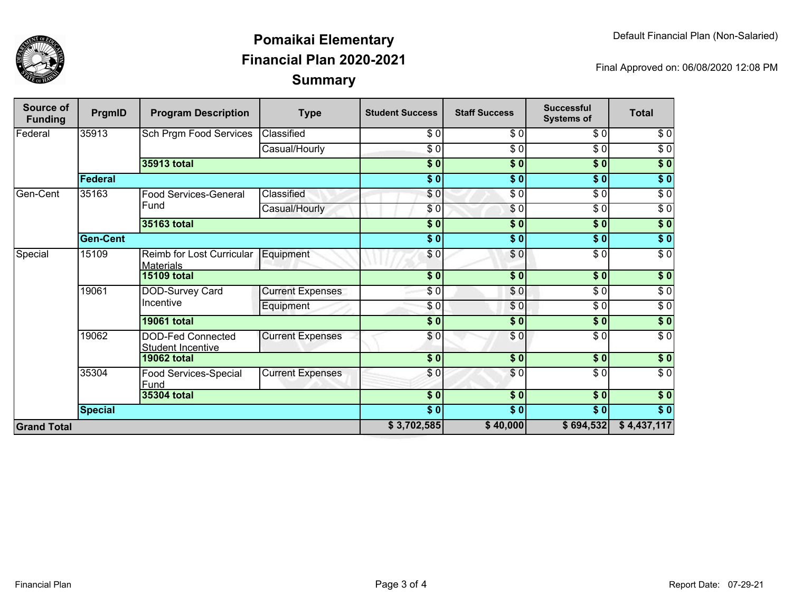

## **SummaryPomaikai ElementaryFinancial Plan 2020-2021**

Final Approved on: 06/08/2020 12:08 PM

| <b>Source of</b><br><b>Funding</b> | PrgmID          | <b>Program Description</b>                           | <b>Type</b>             | <b>Student Success</b> | <b>Staff Success</b> | <b>Successful</b><br><b>Systems of</b> | <b>Total</b>     |
|------------------------------------|-----------------|------------------------------------------------------|-------------------------|------------------------|----------------------|----------------------------------------|------------------|
| Federal                            | 35913           | <b>Sch Prgm Food Services</b>                        | Classified              | \$0                    | \$0                  | \$0                                    | \$0              |
|                                    |                 |                                                      | Casual/Hourly           | $\sqrt{6}$             | $\frac{1}{\sigma}$   | $\sqrt{6}$                             | $\sqrt{6}$       |
|                                    |                 | 35913 total                                          |                         | $\overline{\$0}$       | $\overline{\$0}$     | $\overline{\$0}$                       | $\overline{\$0}$ |
|                                    | Federal         |                                                      |                         | $\overline{\$0}$       | $\overline{\$0}$     | $\overline{\$0}$                       | $\sqrt{6}$       |
| Gen-Cent                           | 35163           | <b>Food Services-General</b><br>Fund                 | Classified              | \$0                    | $\frac{3}{6}$        | $\overline{\$0}$                       | $\sqrt{6}$       |
|                                    |                 |                                                      | Casual/Hourly           | \$0                    | \$0                  | \$0                                    | $\sqrt{6}$       |
|                                    |                 | 35163 total                                          |                         | $\overline{\$0}$       | $\sqrt{5}$           | \$0                                    | $\overline{\$0}$ |
|                                    | <b>Gen-Cent</b> |                                                      |                         | $\overline{\$0}$       | $\overline{\$0}$     | $\overline{\$0}$                       | $\overline{\$0}$ |
| Special                            | 15109           | Reimb for Lost Curricular<br><b>Materials</b>        | Equipment               | \$0                    | \$0                  | $\overline{\$0}$                       | $\sqrt{6}$       |
|                                    |                 | <b>15109 total</b>                                   |                         | \$0                    | s <sub>0</sub>       | \$0                                    | \$0              |
|                                    | 19061           | DOD-Survey Card<br>Incentive                         | <b>Current Expenses</b> | \$0                    | \$0                  | $\overline{\$0}$                       | $\overline{\$0}$ |
|                                    |                 |                                                      | Equipment               | \$0                    | \$0                  | $\overline{\$0}$                       | $\overline{30}$  |
|                                    |                 | <b>19061 total</b>                                   |                         | \$0                    | \$0                  | \$0                                    | $\sqrt{6}$       |
|                                    | 19062           | <b>DOD-Fed Connected</b><br><b>Student Incentive</b> | <b>Current Expenses</b> | \$0                    | \$0                  | $\overline{\$0}$                       | $\overline{\$0}$ |
|                                    |                 | <b>19062 total</b>                                   |                         | $\overline{\$0}$       | $\frac{1}{2}$        | $\sqrt{6}$                             | \$0              |
|                                    | 35304           | Food Services-Special<br>Fund                        | <b>Current Expenses</b> | \$0                    | $\frac{6}{3}$        | $\sqrt{6}$                             | $\sqrt{6}$       |
|                                    |                 | <b>35304 total</b>                                   |                         | $\overline{\$0}$       | $\sqrt{6}$           | $\overline{\$0}$                       | $\overline{\$0}$ |
|                                    | <b>Special</b>  |                                                      |                         | $\overline{\$0}$       | $\overline{\$0}$     | $\overline{\$0}$                       | $\overline{\$0}$ |
| <b>Grand Total</b>                 |                 |                                                      |                         | \$3,702,585            | \$40,000             | \$694,532                              | \$4,437,117      |